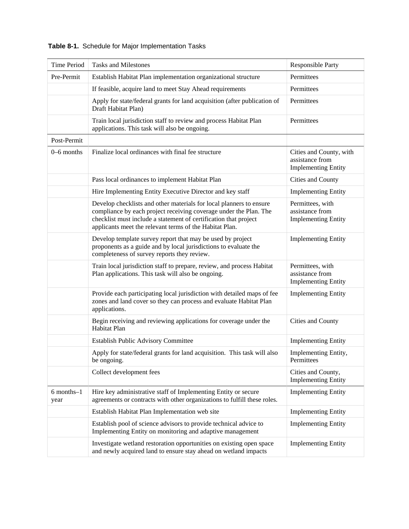| Time Period        | <b>Tasks and Milestones</b>                                                                                                                                                                                                                                             | <b>Responsible Party</b>                                                 |
|--------------------|-------------------------------------------------------------------------------------------------------------------------------------------------------------------------------------------------------------------------------------------------------------------------|--------------------------------------------------------------------------|
| Pre-Permit         | Establish Habitat Plan implementation organizational structure                                                                                                                                                                                                          | Permittees                                                               |
|                    | If feasible, acquire land to meet Stay Ahead requirements                                                                                                                                                                                                               | Permittees                                                               |
|                    | Apply for state/federal grants for land acquisition (after publication of<br>Draft Habitat Plan)                                                                                                                                                                        | Permittees                                                               |
|                    | Train local jurisdiction staff to review and process Habitat Plan<br>applications. This task will also be ongoing.                                                                                                                                                      | Permittees                                                               |
| Post-Permit        |                                                                                                                                                                                                                                                                         |                                                                          |
| $0 - 6$ months     | Finalize local ordinances with final fee structure                                                                                                                                                                                                                      | Cities and County, with<br>assistance from<br><b>Implementing Entity</b> |
|                    | Pass local ordinances to implement Habitat Plan                                                                                                                                                                                                                         | Cities and County                                                        |
|                    | Hire Implementing Entity Executive Director and key staff                                                                                                                                                                                                               | <b>Implementing Entity</b>                                               |
|                    | Develop checklists and other materials for local planners to ensure<br>compliance by each project receiving coverage under the Plan. The<br>checklist must include a statement of certification that project<br>applicants meet the relevant terms of the Habitat Plan. | Permittees, with<br>assistance from<br><b>Implementing Entity</b>        |
|                    | Develop template survey report that may be used by project<br>proponents as a guide and by local jurisdictions to evaluate the<br>completeness of survey reports they review.                                                                                           | <b>Implementing Entity</b>                                               |
|                    | Train local jurisdiction staff to prepare, review, and process Habitat<br>Plan applications. This task will also be ongoing.                                                                                                                                            | Permittees, with<br>assistance from<br><b>Implementing Entity</b>        |
|                    | Provide each participating local jurisdiction with detailed maps of fee<br>zones and land cover so they can process and evaluate Habitat Plan<br>applications.                                                                                                          | <b>Implementing Entity</b>                                               |
|                    | Begin receiving and reviewing applications for coverage under the<br>Habitat Plan                                                                                                                                                                                       | Cities and County                                                        |
|                    | <b>Establish Public Advisory Committee</b>                                                                                                                                                                                                                              | <b>Implementing Entity</b>                                               |
|                    | Apply for state/federal grants for land acquisition. This task will also<br>be ongoing.                                                                                                                                                                                 | Implementing Entity,<br>Permittees                                       |
|                    | Collect development fees                                                                                                                                                                                                                                                | Cities and County,<br><b>Implementing Entity</b>                         |
| 6 months-1<br>year | Hire key administrative staff of Implementing Entity or secure<br>agreements or contracts with other organizations to fulfill these roles.                                                                                                                              | <b>Implementing Entity</b>                                               |
|                    | Establish Habitat Plan Implementation web site                                                                                                                                                                                                                          | <b>Implementing Entity</b>                                               |
|                    | Establish pool of science advisors to provide technical advice to<br>Implementing Entity on monitoring and adaptive management                                                                                                                                          | <b>Implementing Entity</b>                                               |
|                    | Investigate wetland restoration opportunities on existing open space<br>and newly acquired land to ensure stay ahead on wetland impacts                                                                                                                                 | <b>Implementing Entity</b>                                               |

**Table 8-1.** Schedule for Major Implementation Tasks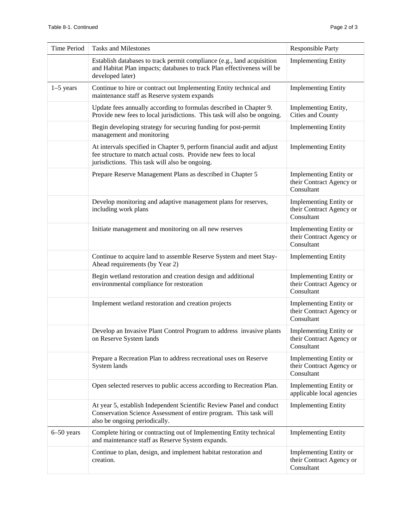| Time Period    | <b>Tasks and Milestones</b>                                                                                                                                                                 | <b>Responsible Party</b>                                         |
|----------------|---------------------------------------------------------------------------------------------------------------------------------------------------------------------------------------------|------------------------------------------------------------------|
|                | Establish databases to track permit compliance (e.g., land acquisition<br>and Habitat Plan impacts; databases to track Plan effectiveness will be<br>developed later)                       | <b>Implementing Entity</b>                                       |
| $1-5$ years    | Continue to hire or contract out Implementing Entity technical and<br>maintenance staff as Reserve system expands                                                                           | <b>Implementing Entity</b>                                       |
|                | Update fees annually according to formulas described in Chapter 9.<br>Provide new fees to local jurisdictions. This task will also be ongoing.                                              | Implementing Entity,<br>Cities and County                        |
|                | Begin developing strategy for securing funding for post-permit<br>management and monitoring                                                                                                 | <b>Implementing Entity</b>                                       |
|                | At intervals specified in Chapter 9, perform financial audit and adjust<br>fee structure to match actual costs. Provide new fees to local<br>jurisdictions. This task will also be ongoing. | <b>Implementing Entity</b>                                       |
|                | Prepare Reserve Management Plans as described in Chapter 5                                                                                                                                  | Implementing Entity or<br>their Contract Agency or<br>Consultant |
|                | Develop monitoring and adaptive management plans for reserves,<br>including work plans                                                                                                      | Implementing Entity or<br>their Contract Agency or<br>Consultant |
|                | Initiate management and monitoring on all new reserves                                                                                                                                      | Implementing Entity or<br>their Contract Agency or<br>Consultant |
|                | Continue to acquire land to assemble Reserve System and meet Stay-<br>Ahead requirements (by Year 2)                                                                                        | <b>Implementing Entity</b>                                       |
|                | Begin wetland restoration and creation design and additional<br>environmental compliance for restoration                                                                                    | Implementing Entity or<br>their Contract Agency or<br>Consultant |
|                | Implement wetland restoration and creation projects                                                                                                                                         | Implementing Entity or<br>their Contract Agency or<br>Consultant |
|                | Develop an Invasive Plant Control Program to address invasive plants<br>on Reserve System lands                                                                                             | Implementing Entity or<br>their Contract Agency or<br>Consultant |
|                | Prepare a Recreation Plan to address recreational uses on Reserve<br>System lands                                                                                                           | Implementing Entity or<br>their Contract Agency or<br>Consultant |
|                | Open selected reserves to public access according to Recreation Plan.                                                                                                                       | Implementing Entity or<br>applicable local agencies              |
|                | At year 5, establish Independent Scientific Review Panel and conduct<br>Conservation Science Assessment of entire program. This task will<br>also be ongoing periodically.                  | <b>Implementing Entity</b>                                       |
| $6 - 50$ years | Complete hiring or contracting out of Implementing Entity technical<br>and maintenance staff as Reserve System expands.                                                                     | <b>Implementing Entity</b>                                       |
|                | Continue to plan, design, and implement habitat restoration and<br>creation.                                                                                                                | Implementing Entity or<br>their Contract Agency or<br>Consultant |